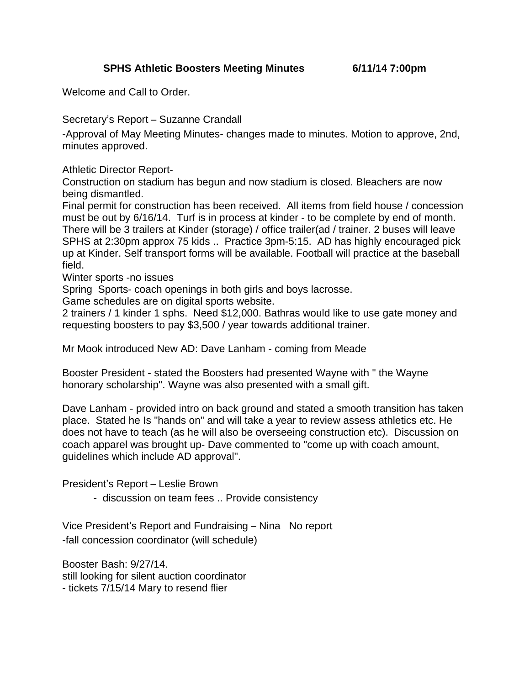Welcome and Call to Order.

Secretary's Report – Suzanne Crandall

-Approval of May Meeting Minutes- changes made to minutes. Motion to approve, 2nd, minutes approved.

Athletic Director Report-

Construction on stadium has begun and now stadium is closed. Bleachers are now being dismantled.

Final permit for construction has been received. All items from field house / concession must be out by 6/16/14. Turf is in process at kinder - to be complete by end of month. There will be 3 trailers at Kinder (storage) / office trailer(ad / trainer. 2 buses will leave SPHS at 2:30pm approx 75 kids .. Practice 3pm-5:15. AD has highly encouraged pick up at Kinder. Self transport forms will be available. Football will practice at the baseball field.

Winter sports -no issues

Spring Sports- coach openings in both girls and boys lacrosse.

Game schedules are on digital sports website.

2 trainers / 1 kinder 1 sphs. Need \$12,000. Bathras would like to use gate money and requesting boosters to pay \$3,500 / year towards additional trainer.

Mr Mook introduced New AD: Dave Lanham - coming from Meade

Booster President - stated the Boosters had presented Wayne with " the Wayne honorary scholarship". Wayne was also presented with a small gift.

Dave Lanham - provided intro on back ground and stated a smooth transition has taken place. Stated he Is "hands on" and will take a year to review assess athletics etc. He does not have to teach (as he will also be overseeing construction etc). Discussion on coach apparel was brought up- Dave commented to "come up with coach amount, guidelines which include AD approval".

President's Report – Leslie Brown

- discussion on team fees .. Provide consistency

Vice President's Report and Fundraising – Nina No report -fall concession coordinator (will schedule)

Booster Bash: 9/27/14. still looking for silent auction coordinator - tickets 7/15/14 Mary to resend flier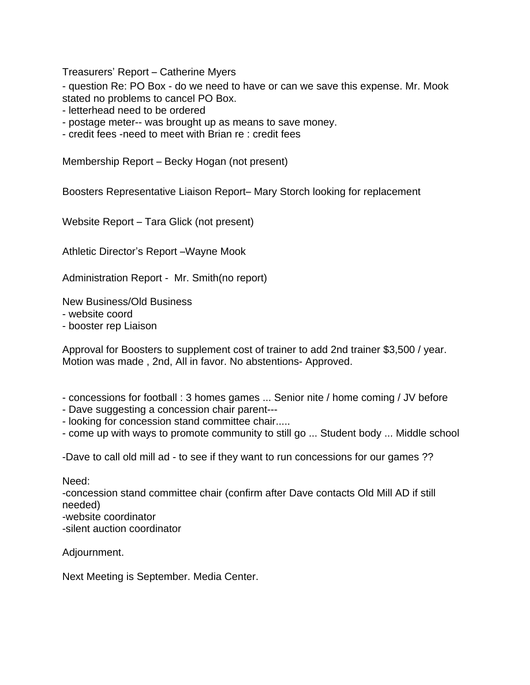Treasurers' Report – Catherine Myers

- question Re: PO Box - do we need to have or can we save this expense. Mr. Mook stated no problems to cancel PO Box.

- letterhead need to be ordered

- postage meter-- was brought up as means to save money.

- credit fees -need to meet with Brian re : credit fees

Membership Report – Becky Hogan (not present)

Boosters Representative Liaison Report– Mary Storch looking for replacement

Website Report – Tara Glick (not present)

Athletic Director's Report –Wayne Mook

Administration Report - Mr. Smith(no report)

New Business/Old Business

- website coord

- booster rep Liaison

Approval for Boosters to supplement cost of trainer to add 2nd trainer \$3,500 / year. Motion was made , 2nd, All in favor. No abstentions- Approved.

- concessions for football : 3 homes games ... Senior nite / home coming / JV before
- Dave suggesting a concession chair parent---
- looking for concession stand committee chair.....

- come up with ways to promote community to still go ... Student body ... Middle school

-Dave to call old mill ad - to see if they want to run concessions for our games ??

Need:

-concession stand committee chair (confirm after Dave contacts Old Mill AD if still needed)

-website coordinator

-silent auction coordinator

Adjournment.

Next Meeting is September. Media Center.